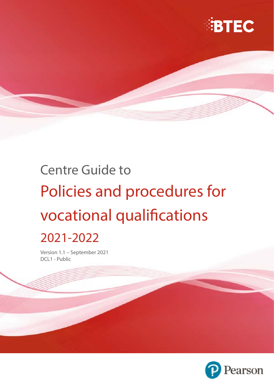

# Centre Guide to Policies and procedures for vocational qualifications

## 2021-2022

Version 1.1 – September 2021 DCL1 - Public

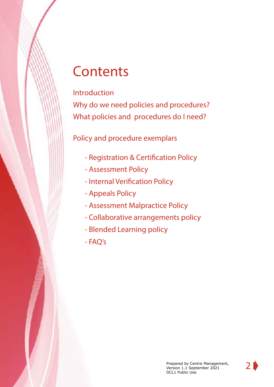## **Contents**

## [Introduction](#page-2-0)

[Why do we need policies and procedures?](#page-3-0) [What policies and procedures do I need?](#page-6-0)

Policy and procedure exemplars

- - [Registration & Certification Policy](#page-7-0)
- - [Assessment Policy](#page-9-0)
- - [Internal Verification Policy](#page-11-0)
- - [Appeals Policy](#page-13-0)
- - [Assessment Malpractice Policy](#page-15-0)
- Collaborative arrangements policy
- Blended Learning policy
- FAQ's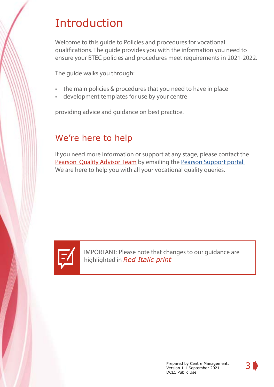## <span id="page-2-0"></span>Introduction

Welcome to this guide to Policies and procedures for vocational qualifications. The guide provides you with the information you need to ensure your BTEC policies and procedures meet requirements in 2021-2022.

The guide walks you through:

- the main policies & procedures that you need to have in place
- development templates for use by your centre

providing advice and guidance on best practice.

## We're here to help

If you need more information or support at any stage, please contact the Pearson [Quality Advisor Team](https://qualifications.pearson.com/en/support/support-for-you/administrators/quality-nominees.html) by emailing the [Pearson Support portal](https://support.pearson.com/uk/s/qualification-contactus) We are here to help you with all your vocational quality queries.



IMPORTANT: Please note that changes to our guidance are highlighted in *Red Italic print*

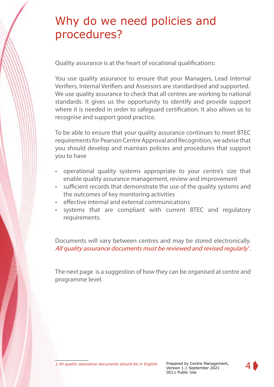## <span id="page-3-0"></span>Why do we need policies and procedures?

Quality assurance is at the heart of vocational qualifications:

You use quality assurance to ensure that your Managers, Lead Internal Verifiers, Internal Verifiers and Assessors are standardised and supported. We use quality assurance to check that all centres are working to national standards. It gives us the opportunity to identify and provide support where it is needed in order to safeguard certification. It also allows us to recognise and support good practice.

To be able to ensure that your quality assurance continues to meet BTEC requirements for Pearson Centre Approval and Recognition, we advise that you should develop and maintain policies and procedures that support you to have

- operational quality systems appropriate to your centre's size that enable quality assurance management, review and improvement
- sufficient records that demonstrate the use of the quality systems and the outcomes of key monitoring activities
- effective internal and external communications
- systems that are compliant with current BTEC and regulatory requirements.

Documents will vary between centres and may be stored electronically. All quality assurance documents must be reviewed and revised regularly<sup>1</sup>.

The next page is a suggestion of how they can be organised at centre and programme level.

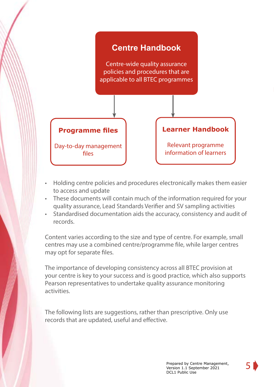

- Holding centre policies and procedures electronically makes them easier to access and update
- These documents will contain much of the information required for your quality assurance, Lead Standards Verifier and SV sampling activities
- Standardised documentation aids the accuracy, consistency and audit of records.

Content varies according to the size and type of centre. For example, small centres may use a combined centre/programme file, while larger centres may opt for separate files.

The importance of developing consistency across all BTEC provision at your centre is key to your success and is good practice, which also supports Pearson representatives to undertake quality assurance monitoring activities.

The following lists are suggestions, rather than prescriptive. Only use records that are updated, useful and effective.

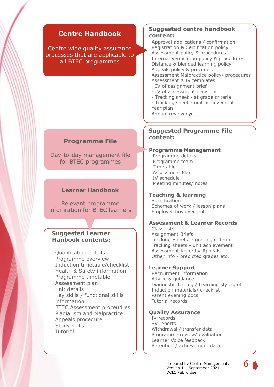## **Centre Handbook**

Centre wide quality assurance processes that are applicable to all BTEC programmes

#### **Suggested centre handbook content:**

Approval applications / confirmation Registration & Certification policy Assessment policy & procedures Internal Verification policy & procedures Distance & blended learning policy Appeals policy & procedure Assessment Malpractice policy/ procedures Assessment & IV templates:

- IV of assignment brief
- IV of assessment decisions
- Tracking sheet at grade criteria
- Tracking sheet unit achievement Year plan

Annual review cycle

#### **Suggested Programme File content:**

#### **Programme Management**

Programme details Programme team Timetable Assessment Plan IV schedule Meeting minutes/ notes

#### **Teaching & learning**

**Specification** Schemes of work / lesson plans Employer Iinvolvement

#### **Assessment & Learner Records**

Class lists Assignment Briefs Tracking Sheets - grading criteria Tracking sheets - unit achievement Assessment Records/ Appeals Other info - predicted grades etc.

#### **Learner Support**

Recruitment information Advice & guidance Diagnostic Testing / Learning styles, etc Induction materials/ checklist Parent evening docs Tutorial records

#### **Quality Assurance**

IV records SV reports Withdrawal / transfer data Programme review/ evaluation Learner Voice feedback Retention / achievement data

Prepared by Centre Management,

DCL1 Public Use

Version 1.1 September 2021

#### **Programme File**

Day-to-day management file for BTEC programmes

#### **Learner Handbook**

Relevant programme infomration for BTEC learners

#### **Suggested Learner Hanbook contents:**

Qualification details Programme overview Induction timetable/checklist Health & Safety information Programme timetable Assessment plan Unit details Key skills / functional skills information BTEC Assessment proceudres Plagiarism and Malpractice Appeals procedure Study skills Tutorial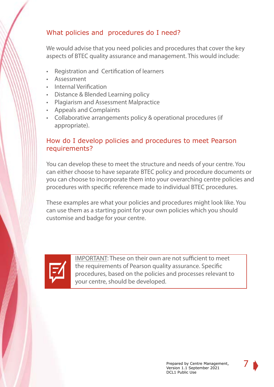## <span id="page-6-0"></span>What policies and procedures do I need?

We would advise that you need policies and procedures that cover the key aspects of BTEC quality assurance and management. This would include:

- Registration and Certification of learners
- Assessment
- Internal Verification
- Distance & Blended Learning policy
- Plagiarism and Assessment Malpractice
- Appeals and Complaints
- Collaborative arrangements policy & operational procedures (if appropriate).

## How do I develop policies and procedures to meet Pearson requirements?

You can develop these to meet the structure and needs of your centre. You can either choose to have separate BTEC policy and procedure documents or you can choose to incorporate them into your overarching centre policies and procedures with specific reference made to individual BTEC procedures.

These examples are what your policies and procedures might look like. You can use them as a starting point for your own policies which you should customise and badge for your centre.



IMPORTANT: These on their own are not sufficient to meet the requirements of Pearson quality assurance. Specific procedures, based on the policies and processes relevant to your centre, should be developed.

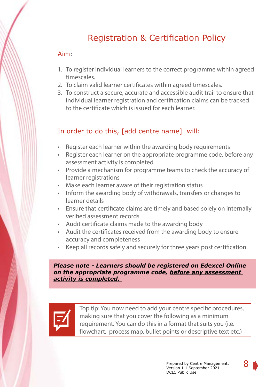## Registration & Certification Policy

## <span id="page-7-0"></span>Aim:

- 1. To register individual learners to the correct programme within agreed timescales.
- 2. To claim valid learner certificates within agreed timescales.
- 3. To construct a secure, accurate and accessible audit trail to ensure that individual learner registration and certification claims can be tracked to the certificate which is issued for each learner.

## In order to do this, [add centre name] will:

- Register each learner within the awarding body requirements
- Register each learner on the appropriate programme code, before any assessment activity is completed
- Provide a mechanism for programme teams to check the accuracy of learner registrations
- Make each learner aware of their registration status
- Inform the awarding body of withdrawals, transfers or changes to learner details
- Ensure that certificate claims are timely and based solely on internally verified assessment records
- Audit certificate claims made to the awarding body
- Audit the certificates received from the awarding body to ensure accuracy and completeness
- Keep all records safely and securely for three years post certification.

*Please note - Learners should be registered on Edexcel Online on the appropriate programme code, before any assessment activity is completed.* 



Top tip: You now need to add your centre specific procedures, making sure that you cover the following as a minimum requirement. You can do this in a format that suits you (i.e. flowchart, process map, bullet points or descriptive text etc.)

8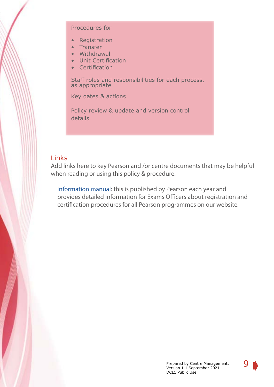#### Procedures for

- Registration
- Transfer
- Withdrawal
- Unit Certification
- Certification

Staff roles and responsibilities for each process, as appropriate

Key dates & actions

Policy review & update and version control details

### Links

Add links here to key Pearson and /or centre documents that may be helpful when reading or using this policy & procedure:

[Information manual:](https://qualifications.pearson.com/en/support/support-for-you/exam-officers-administrators/entries-information-manual.html) this is published by Pearson each year and provides detailed information for Exams Officers about registration and certification procedures for all Pearson programmes on our website.

9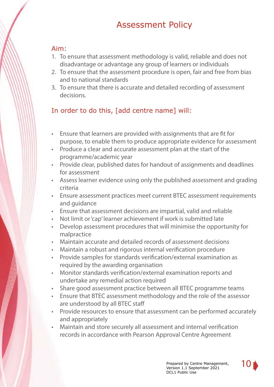## Assessment Policy

## <span id="page-9-0"></span>Aim:

- 1. To ensure that assessment methodology is valid, reliable and does not disadvantage or advantage any group of learners or individuals
- 2. To ensure that the assessment procedure is open, fair and free from bias and to national standards
- 3. To ensure that there is accurate and detailed recording of assessment decisions.

## In order to do this, [add centre name] will:

- Ensure that learners are provided with assignments that are fit for purpose, to enable them to produce appropriate evidence for assessment
- Produce a clear and accurate assessment plan at the start of the programme/academic year
- Provide clear, published dates for handout of assignments and deadlines for assessment
- Assess learner evidence using only the published assessment and grading criteria
- Ensure assessment practices meet current BTEC assessment requirements and guidance
- Ensure that assessment decisions are impartial, valid and reliable
- Not limit or 'cap' learner achievement if work is submitted late
- Develop assessment procedures that will minimise the opportunity for malpractice
- Maintain accurate and detailed records of assessment decisions
- Maintain a robust and rigorous internal verification procedure
- Provide samples for standards verification/external examination as required by the awarding organisation
- Monitor standards verification/external examination reports and undertake any remedial action required
- Share good assessment practice between all BTEC programme teams
- Ensure that BTEC assessment methodology and the role of the assessor are understood by all BTEC staff
- Provide resources to ensure that assessment can be performed accurately and appropriately
- Maintain and store securely all assessment and internal verification records in accordance with Pearson Approval Centre Agreement

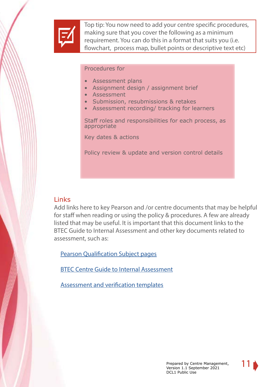

Top tip: You now need to add your centre specific procedures, making sure that you cover the following as a minimum requirement. You can do this in a format that suits you (i.e. flowchart, process map, bullet points or descriptive text etc)

#### Procedures for

- Assessment plans
- Assignment design / assignment brief
- Assessment
- Submission, resubmissions & retakes
- Assessment recording/ tracking for learners

Staff roles and responsibilities for each process, as appropriate

Key dates & actions

Policy review & update and version control details

## **Links**

Add links here to key Pearson and /or centre documents that may be helpful for staff when reading or using the policy & procedures. A few are already listed that may be useful. It is important that this document links to the BTEC Guide to Internal Assessment and other key documents related to assessment, such as:

[Pearson Qualification Subject pages](https://qualifications.pearson.com/en/home.html)

[BTEC Centre Guide to Internal Assessment](https://qualifications.pearson.com/en/support/support-for-you/quality-nominees/btec-entry-level-3.html)

[Assessment and verification templates](https://qualifications.pearson.com/en/support/support-for-you/quality-nominees/btec-entry-level-3.html)

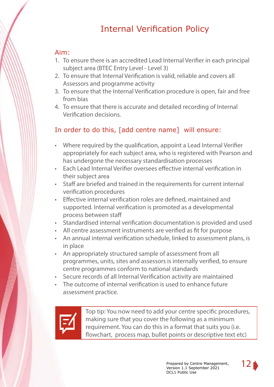## Internal Verification Policy

## <span id="page-11-0"></span>Aim:

- 1. To ensure there is an accredited Lead Internal Verifier in each principal subject area (BTEC Entry Level - Level 3)
- 2. To ensure that Internal Verification is valid, reliable and covers all Assessors and programme activity
- 3. To ensure that the Internal Verification procedure is open, fair and free from bias
- 4. To ensure that there is accurate and detailed recording of Internal Verification decisions.

## In order to do this, [add centre name] will ensure:

- Where required by the qualification, appoint a Lead Internal Verifier appropriately for each subject area, who is registered with Pearson and has undergone the necessary standardisation processes
- Each Lead Internal Verifier oversees effective internal verification in their subject area
- Staff are briefed and trained in the requirements for current internal verification procedures
- Effective internal verification roles are defined, maintained and supported. Internal verification is promoted as a developmental process between staff
- Standardised internal verification documentation is provided and used
- All centre assessment instruments are verified as fit for purpose
- An annual internal verification schedule, linked to assessment plans, is in place
- An appropriately structured sample of assessment from all programmes, units, sites and assessors is internally verified, to ensure centre programmes conform to national standards
- Secure records of all Internal Verification activity are maintained
- The outcome of internal verification is used to enhance future assessment practice.



Top tip: You now need to add your centre specific procedures, making sure that you cover the following as a minimum requirement. You can do this in a format that suits you (i.e. flowchart, process map, bullet points or descriptive text etc)

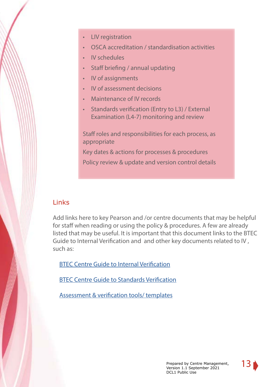- LIV registration
- OSCA accreditation / standardisation activities
- IV schedules
- Staff briefing / annual updating
- IV of assignments
- IV of assessment decisions
- Maintenance of IV records
- Standards verification (Entry to L3) / External Examination (L4-7) monitoring and review

Staff roles and responsibilities for each process, as appropriate

Key dates & actions for processes & procedures

Policy review & update and version control details

## Links

Add links here to key Pearson and /or centre documents that may be helpful for staff when reading or using the policy & procedures. A few are already listed that may be useful. It is important that this document links to the BTEC Guide to Internal Verification and and other key documents related to IV , such as:

[BTEC Centre Guide to Internal Verification](https://qualifications.pearson.com/en/support/support-for-you/quality-nominees/btec-entry-level-3.html)

BTEC Centre Guide to [Standards](https://qualifications.pearson.com/en/support/support-for-you/quality-nominees/btec-entry-level-3.html) Verification

[Assessment & verification tools/ templates](https://qualifications.pearson.com/en/support/support-for-you/quality-nominees/btec-entry-level-3.html)

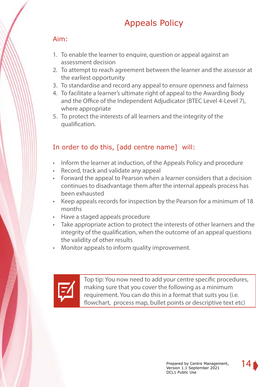## Appeals Policy

## <span id="page-13-0"></span>Aim:

- 1. To enable the learner to enquire, question or appeal against an assessment decision
- 2. To attempt to reach agreement between the learner and the assessor at the earliest opportunity
- 3. To standardise and record any appeal to ensure openness and fairness
- 4. To facilitate a learner's ultimate right of appeal to the Awarding Body and the Office of the Independent Adjudicator (BTEC Level 4-Level 7), where appropriate
- 5. To protect the interests of all learners and the integrity of the qualification.

## In order to do this, [add centre name] will:

- Inform the learner at induction, of the Appeals Policy and procedure
- Record, track and validate any appeal
- Forward the appeal to Pearson when a learner considers that a decision continues to disadvantage them after the internal appeals process has been exhausted
- Keep appeals records for inspection by the Pearson for a minimum of 18 months
- Have a staged appeals procedure
- Take appropriate action to protect the interests of other learners and the integrity of the qualification, when the outcome of an appeal questions the validity of other results
- Monitor appeals to inform quality improvement.



Top tip: You now need to add your centre specific procedures, making sure that you cover the following as a minimum requirement. You can do this in a format that suits you (i.e. flowchart, process map, bullet points or descriptive text etc)

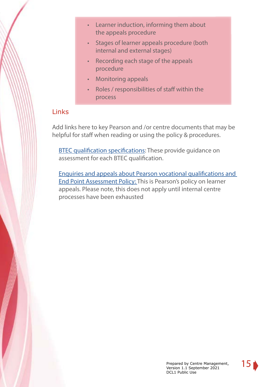- Learner induction, informing them about the appeals procedure
- Stages of learner appeals procedure (both internal and external stages)
- Recording each stage of the appeals procedure
- Monitoring appeals
- Roles / responsibilities of staff within the process

## Links

Add links here to key Pearson and /or centre documents that may be helpful for staff when reading or using the policy & procedures.

[BTEC qualification specifications:](https://qualifications.pearson.com/en/subjects.html) These provide guidance on assessment for each BTEC qualification.

[Enquiries and appeals about Pearson vocational qualifications and](https://qualifications.pearson.com/en/support/support-topics/understanding-our-qualifications/policies-for-centres-learners-and-employees.html/student)  [End Point Assessment Policy:](https://qualifications.pearson.com/en/support/support-topics/understanding-our-qualifications/policies-for-centres-learners-and-employees.html/student) This is Pearson's policy on learner appeals. Please note, this does not apply until internal centre processes have been exhausted

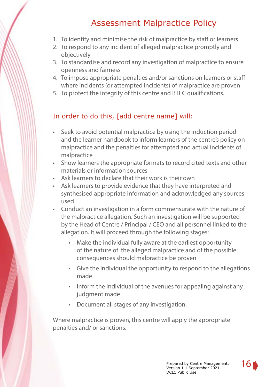## Assessment Malpractice Policy

- <span id="page-15-0"></span>1. To identify and minimise the risk of malpractice by staff or learners
- 2. To respond to any incident of alleged malpractice promptly and objectively
- 3. To standardise and record any investigation of malpractice to ensure openness and fairness
- 4. To impose appropriate penalties and/or sanctions on learners or staff where incidents (or attempted incidents) of malpractice are proven
- 5. To protect the integrity of this centre and BTEC qualifications.

## In order to do this, [add centre name] will:

- Seek to avoid potential malpractice by using the induction period and the learner handbook to inform learners of the centre's policy on malpractice and the penalties for attempted and actual incidents of malpractice
- Show learners the appropriate formats to record cited texts and other materials or information sources
- Ask learners to declare that their work is their own
- Ask learners to provide evidence that they have interpreted and synthesised appropriate information and acknowledged any sources used
- Conduct an investigation in a form commensurate with the nature of the malpractice allegation. Such an investigation will be supported by the Head of Centre / Principal / CEO and all personnel linked to the allegation. It will proceed through the following stages:
	- Make the individual fully aware at the earliest opportunity of the nature of the alleged malpractice and of the possible consequences should malpractice be proven
	- Give the individual the opportunity to respond to the allegations made
	- Inform the individual of the avenues for appealing against any judgment made
	- Document all stages of any investigation.

Where malpractice is proven, this centre will apply the appropriate penalties and/ or sanctions.

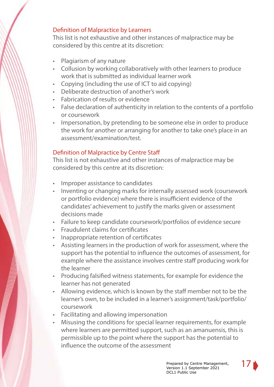## Definition of Malpractice by Learners

This list is not exhaustive and other instances of malpractice may be considered by this centre at its discretion:

- Plagiarism of any nature
- Collusion by working collaboratively with other learners to produce work that is submitted as individual learner work
- Copying (including the use of ICT to aid copying)
- Deliberate destruction of another's work
- Fabrication of results or evidence
- False declaration of authenticity in relation to the contents of a portfolio or coursework
- Impersonation, by pretending to be someone else in order to produce the work for another or arranging for another to take one's place in an assessment/examination/test.

## Definition of Malpractice by Centre Staff

This list is not exhaustive and other instances of malpractice may be considered by this centre at its discretion:

- Improper assistance to candidates
- Inventing or changing marks for internally assessed work (coursework or portfolio evidence) where there is insufficient evidence of the candidates' achievement to justify the marks given or assessment decisions made
- Failure to keep candidate coursework/portfolios of evidence secure
- Fraudulent claims for certificates
- Inappropriate retention of certificates
- Assisting learners in the production of work for assessment, where the support has the potential to influence the outcomes of assessment, for example where the assistance involves centre staff producing work for the learner
- Producing falsified witness statements, for example for evidence the learner has not generated
- Allowing evidence, which is known by the staff member not to be the learner's own, to be included in a learner's assignment/task/portfolio/ coursework
- Facilitating and allowing impersonation
- Misusing the conditions for special learner requirements, for example where learners are permitted support, such as an amanuensis, this is permissible up to the point where the support has the potential to influence the outcome of the assessment

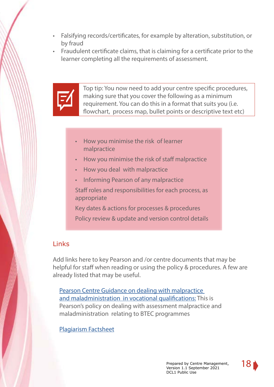- Falsifying records/certificates, for example by alteration, substitution, or by fraud
- Fraudulent certificate claims, that is claiming for a certificate prior to the learner completing all the requirements of assessment.



Top tip: You now need to add your centre specific procedures, making sure that you cover the following as a minimum requirement. You can do this in a format that suits you (i.e. flowchart, process map, bullet points or descriptive text etc)

- How you minimise the risk of learner malpractice
- How you minimise the risk of staff malpractice
- How you deal with malpractice
- Informing Pearson of any malpractice

Staff roles and responsibilities for each process, as appropriate

Key dates & actions for processes & procedures

Policy review & update and version control details

## **Links**

Add links here to key Pearson and /or centre documents that may be helpful for staff when reading or using the policy & procedures. A few are already listed that may be useful.

[Pearson Centre Guidance on dealing with malpractice](https://qualifications.pearson.com/en/support/support-topics/understanding-our-qualifications/policies-for-centres-learners-and-employees.html/student)  [and maladministration in vocational qualifications:](https://qualifications.pearson.com/en/support/support-topics/understanding-our-qualifications/policies-for-centres-learners-and-employees.html/student) This is Pearson's policy on dealing with assessment malpractice and maladministration relating to BTEC programmes

### [Plagiarism Factsheet](https://qualifications.pearson.com/content/dam/pdf/Support/Quality%20Assurance/Plagiarism-Factsheet.pdf)

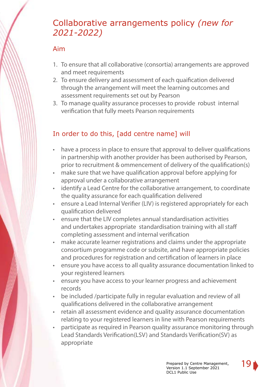## Collaborative arrangements policy *(new for 2021-2022)*

## Aim

- 1. To ensure that all collaborative (consortia) arrangements are approved and meet requirements
- 2. To ensure delivery and assessment of each quaification delivered through the arrangement will meet the learning outcomes and assessment requirements set out by Pearson
- 3. To manage quality assurance processes to provide robust internal verification that fully meets Pearson requirements

## In order to do this, [add centre name] will

- have a process in place to ensure that approval to deliver qualifications in partnership with another provider has been authorised by Pearson, prior to recruitment & ommencement of delivery of the qualification(s)
- make sure that we have qualification approval before applying for approval under a collaborative arrangement
- identify a Lead Centre for the collaborative arrangement, to coordinate the quality assurance for each qualification delivered
- ensure a Lead Internal Verifier (LIV) is registered appropriately for each qualification delivered
- ensure that the LIV completes annual standardisation activities and undertakes appropriate standardisation training with all staff completing assessment and internal verification
- make accurate learner registrations and claims under the appropriate consortium programme code or subsite, and have appropriate policies and procedures for registration and certification of learners in place
- ensure you have access to all quality assurance documentation linked to your registered learners
- ensure you have access to your learner progress and achievement records
- be included /participate fully in regular evaluation and review of all qualifications delivered in the collaborative arrangement
- retain all assessment evidence and quality assurance documentation relating to your registered learners in line with Pearson requirements
- participate as required in Pearson quality assurance monitoring through Lead Standards Verification(LSV) and Standards Verification(SV) as appropriate

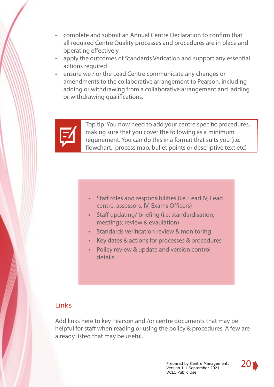- complete and submit an Annual Centre Declaration to confirm that all required Centre Quality processes and procedures are in place and operating effectively
- apply the outcomes of Standards Verication and support any essential actions required
- ensure we / or the Lead Centre communicate any changes or amendments to the collaborative arrangement to Pearson, including adding or withdrawing from a collaborative arrangement and adding or withdrawing qualifications.



Top tip: You now need to add your centre specific procedures, making sure that you cover the following as a minimum requirement. You can do this in a format that suits you (i.e. flowchart, process map, bullet points or descriptive text etc)

- Staff roles and responsibilities (i.e. Lead IV, Lead centre, assessors, IV, Exams Officers)
- Staff updating/ briefing (i.e. standardisation; meetings; review & evaulation)
- Standards verification review & monitoring
- Key dates & actions for processes & procedures
- Policy review & update and version control details

## **Links**

Add links here to key Pearson and /or centre documents that may be helpful for staff when reading or using the policy & procedures. A few are already listed that may be useful.

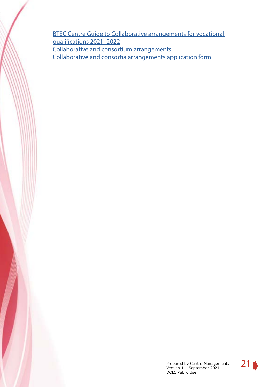[BTEC Centre Guide to Collaborative arrangements for vocational](https://qualifications.pearson.com/en/support/support-for-you/quality-nominees/btec-entry-level-3.html)  [qualifications 2021- 2022](https://qualifications.pearson.com/en/support/support-for-you/quality-nominees/btec-entry-level-3.html) [Collaborative and consortium arrangements](https://qualifications.pearson.com/content/dam/pdf/Support/policies-for-centres-learners-and-employees/Collaborative_and_consortium_arrangements_for_the_delivery_of_vocational_qualifications_policy.pdf) [Collaborative and consortia arrangements application form](https://qualifications.pearson.com/content/dam/pdf/Support/policies-for-centres-learners-and-employees/collaborative-consortia-arrangements-application-form.pdf)

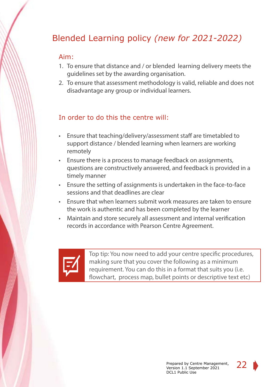## Blended Learning policy *(new for 2021-2022)*

### Aim:

- 1. To ensure that distance and / or blended learning delivery meets the guidelines set by the awarding organisation.
- 2. To ensure that assessment methodology is valid, reliable and does not disadvantage any group or individual learners.

## In order to do this the centre will:

- Ensure that teaching/delivery/assessment staff are timetabled to support distance / blended learning when learners are working remotely
- Ensure there is a process to manage feedback on assignments, questions are constructively answered, and feedback is provided in a timely manner
- Ensure the setting of assignments is undertaken in the face-to-face sessions and that deadlines are clear
- Ensure that when learners submit work measures are taken to ensure the work is authentic and has been completed by the learner
- Maintain and store securely all assessment and internal verification records in accordance with Pearson Centre Agreement.



Top tip: You now need to add your centre specific procedures, making sure that you cover the following as a minimum requirement. You can do this in a format that suits you (i.e. flowchart, process map, bullet points or descriptive text etc)

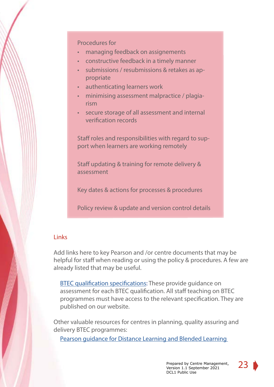#### Procedures for

- managing feedback on assignements
- constructive feedback in a timely manner
- submissions / resubmissions & retakes as appropriate
- authenticating learners work
- minimising assessment malpractice / plagiarism
- secure storage of all assessment and internal verification records

Staff roles and responsibilities with regard to support when learners are working remotely

Staff updating & training for remote delivery & assessment

Key dates & actions for processes & procedures

Policy review & update and version control details

### **Links**

Add links here to key Pearson and /or centre documents that may be helpful for staff when reading or using the policy & procedures. A few are already listed that may be useful.

**[BTEC qualification specifications:](https://qualifications.pearson.com/en/subjects.html) These provide quidance on** assessment for each BTEC qualification. All staff teaching on BTEC programmes must have access to the relevant specification. They are published on our website.

Other valuable resources for centres in planning, quality assuring and delivery BTEC programmes:

[Pearson guidance for Distance Learning and Blended Learning](https://qualifications.pearson.com/en/support/support-for-you/quality-nominees/btec-entry-level-3.html) 

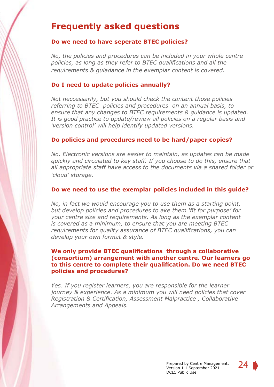## **Frequently asked questions**

#### **Do we need to have seperate BTEC policies?**

*No, the policies and procedures can be included in your whole centre policies, as long as they refer to BTEC qualifications and all the requirements & guiadance in the exemplar content is covered.*

#### **Do I need to update policies annually?**

*Not neccessarily, but you should check the content those policies referring to BTEC policies and procedures on an annual basis, to ensure that any changes to BTEC requirements & guidance is updated. It is good practice to update/review all policies on a regular basis and 'version control' will help identify updated versions.*

#### **Do policies and procedures need to be hard/paper copies?**

*No. Electronic versions are easier to maintain, as updates can be made quickly and circulated to key staff. If you choose to do this, ensure that all appropriate staff have access to the documents via a shared folder or 'cloud' storage.* 

#### **Do we need to use the exemplar policies included in this guide?**

*No, in fact we would encourage you to use them as a starting point, but develop policies and procedures to ake them 'fit for purpose' for your centre size and requirements. As long as the exemplar content is covered as a minimum, to ensure that you are meeting BTEC requirements for quality assurance of BTEC qualifications, you can develop your own format & style.*

#### **We only provide BTEC qualifications through a collaborative (consortium) arrangement with another centre. Our learners go to this centre to complete their qualification. Do we need BTEC policies and procedures?**

*Yes. If you register learners, you are responsible for the learner journey & experience. As a minimum you will need policies that cover Registration & Certification, Assessment Malpractice , Collaborative Arrangements and Appeals.*

24